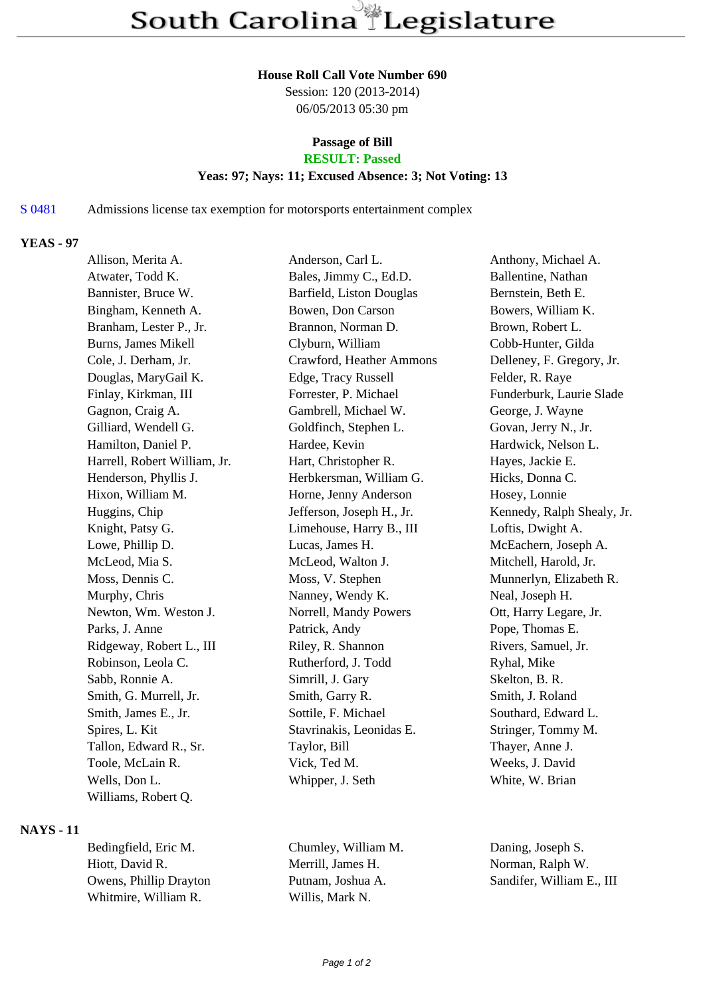#### **House Roll Call Vote Number 690**

Session: 120 (2013-2014) 06/05/2013 05:30 pm

# **Passage of Bill**

## **RESULT: Passed**

#### **Yeas: 97; Nays: 11; Excused Absence: 3; Not Voting: 13**

#### S 0481 Admissions license tax exemption for motorsports entertainment complex

#### **YEAS - 97**

| Allison, Merita A.           | Anderson, Carl L.         | Anthony, Michael A.        |
|------------------------------|---------------------------|----------------------------|
| Atwater, Todd K.             | Bales, Jimmy C., Ed.D.    | Ballentine, Nathan         |
| Bannister, Bruce W.          | Barfield, Liston Douglas  | Bernstein, Beth E.         |
| Bingham, Kenneth A.          | Bowen, Don Carson         | Bowers, William K.         |
| Branham, Lester P., Jr.      | Brannon, Norman D.        | Brown, Robert L.           |
| <b>Burns, James Mikell</b>   | Clyburn, William          | Cobb-Hunter, Gilda         |
| Cole, J. Derham, Jr.         | Crawford, Heather Ammons  | Delleney, F. Gregory, Jr.  |
| Douglas, MaryGail K.         | Edge, Tracy Russell       | Felder, R. Raye            |
| Finlay, Kirkman, III         | Forrester, P. Michael     | Funderburk, Laurie Slade   |
| Gagnon, Craig A.             | Gambrell, Michael W.      | George, J. Wayne           |
| Gilliard, Wendell G.         | Goldfinch, Stephen L.     | Govan, Jerry N., Jr.       |
| Hamilton, Daniel P.          | Hardee, Kevin             | Hardwick, Nelson L.        |
| Harrell, Robert William, Jr. | Hart, Christopher R.      | Hayes, Jackie E.           |
| Henderson, Phyllis J.        | Herbkersman, William G.   | Hicks, Donna C.            |
| Hixon, William M.            | Horne, Jenny Anderson     | Hosey, Lonnie              |
| Huggins, Chip                | Jefferson, Joseph H., Jr. | Kennedy, Ralph Shealy, Jr. |
| Knight, Patsy G.             | Limehouse, Harry B., III  | Loftis, Dwight A.          |
| Lowe, Phillip D.             | Lucas, James H.           | McEachern, Joseph A.       |
| McLeod, Mia S.               | McLeod, Walton J.         | Mitchell, Harold, Jr.      |
| Moss, Dennis C.              | Moss, V. Stephen          | Munnerlyn, Elizabeth R.    |
| Murphy, Chris                | Nanney, Wendy K.          | Neal, Joseph H.            |
| Newton, Wm. Weston J.        | Norrell, Mandy Powers     | Ott, Harry Legare, Jr.     |
| Parks, J. Anne               | Patrick, Andy             | Pope, Thomas E.            |
| Ridgeway, Robert L., III     | Riley, R. Shannon         | Rivers, Samuel, Jr.        |
| Robinson, Leola C.           | Rutherford, J. Todd       | Ryhal, Mike                |
| Sabb, Ronnie A.              | Simrill, J. Gary          | Skelton, B. R.             |
| Smith, G. Murrell, Jr.       | Smith, Garry R.           | Smith, J. Roland           |
| Smith, James E., Jr.         | Sottile, F. Michael       | Southard, Edward L.        |
| Spires, L. Kit               | Stavrinakis, Leonidas E.  | Stringer, Tommy M.         |
| Tallon, Edward R., Sr.       | Taylor, Bill              | Thayer, Anne J.            |
| Toole, McLain R.             | Vick, Ted M.              | Weeks, J. David            |
| Wells, Don L.                | Whipper, J. Seth          | White, W. Brian            |
| Williams, Robert Q.          |                           |                            |

#### **NAYS - 11**

Bedingfield, Eric M. Chumley, William M. Daning, Joseph S. Hiott, David R. Merrill, James H. Norman, Ralph W. Owens, Phillip Drayton Putnam, Joshua A. Sandifer, William E., III Whitmire, William R. Willis, Mark N.